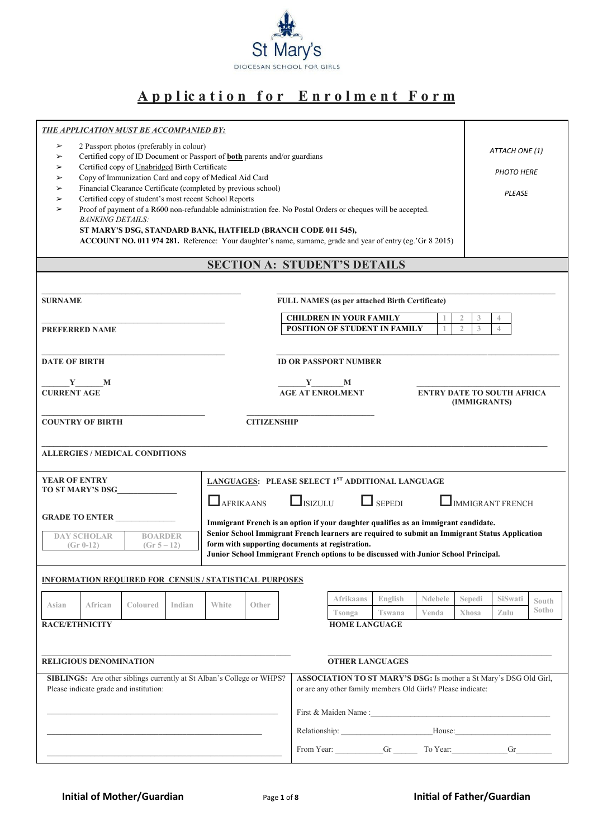

# **A p p l ic a t i o n f o r E n r o l m e n t F o r m**

| <b>THE APPLICATION MUST BE ACCOMPANIED BY:</b>                                                                                                                                                                                                                                                                                                                                                                                                                                                                                                                                                                                                                                                                                    |                                                                                                                                                                                                                                                                                                                                               |                                                                                                                   |                                                                                   |                   |                  |                                            |                         |                                     |
|-----------------------------------------------------------------------------------------------------------------------------------------------------------------------------------------------------------------------------------------------------------------------------------------------------------------------------------------------------------------------------------------------------------------------------------------------------------------------------------------------------------------------------------------------------------------------------------------------------------------------------------------------------------------------------------------------------------------------------------|-----------------------------------------------------------------------------------------------------------------------------------------------------------------------------------------------------------------------------------------------------------------------------------------------------------------------------------------------|-------------------------------------------------------------------------------------------------------------------|-----------------------------------------------------------------------------------|-------------------|------------------|--------------------------------------------|-------------------------|-------------------------------------|
| 2 Passport photos (preferably in colour)<br>➤<br>Certified copy of ID Document or Passport of <b>both</b> parents and/or guardians<br>➤<br>Certified copy of Unabridged Birth Certificate<br>➤<br>Copy of Immunization Card and copy of Medical Aid Card<br>➤<br>Financial Clearance Certificate (completed by previous school)<br>➤<br>Certified copy of student's most recent School Reports<br>➤<br>Proof of payment of a R600 non-refundable administration fee. No Postal Orders or cheques will be accepted.<br>➤<br><b>BANKING DETAILS:</b><br>ST MARY'S DSG, STANDARD BANK, HATFIELD (BRANCH CODE 011 545),<br>ACCOUNT NO. 011 974 281. Reference: Your daughter's name, surname, grade and year of entry (eg.'Gr 8 2015) |                                                                                                                                                                                                                                                                                                                                               |                                                                                                                   |                                                                                   |                   |                  |                                            |                         | ATTACH ONE (1)<br><b>PHOTO HERE</b> |
|                                                                                                                                                                                                                                                                                                                                                                                                                                                                                                                                                                                                                                                                                                                                   | <b>SECTION A: STUDENT'S DETAILS</b>                                                                                                                                                                                                                                                                                                           |                                                                                                                   |                                                                                   |                   |                  |                                            |                         |                                     |
| <b>SURNAME</b><br><b>PREFERRED NAME</b>                                                                                                                                                                                                                                                                                                                                                                                                                                                                                                                                                                                                                                                                                           |                                                                                                                                                                                                                                                                                                                                               | FULL NAMES (as per attached Birth Certificate)<br><b>CHILDREN IN YOUR FAMILY</b><br>POSITION OF STUDENT IN FAMILY |                                                                                   |                   |                  | $\overline{2}$<br>3<br>$\mathfrak{2}$<br>3 | 4<br>$\overline{4}$     |                                     |
| <b>DATE OF BIRTH</b><br><b>ID OR PASSPORT NUMBER</b>                                                                                                                                                                                                                                                                                                                                                                                                                                                                                                                                                                                                                                                                              |                                                                                                                                                                                                                                                                                                                                               |                                                                                                                   |                                                                                   |                   |                  |                                            |                         |                                     |
| $Y$ M<br><b>CURRENT AGE</b>                                                                                                                                                                                                                                                                                                                                                                                                                                                                                                                                                                                                                                                                                                       |                                                                                                                                                                                                                                                                                                                                               | $Y$ M<br><b>AGE AT ENROLMENT</b><br><b>ENTRY DATE TO SOUTH AFRICA</b><br>(IMMIGRANTS)                             |                                                                                   |                   |                  |                                            |                         |                                     |
| <b>COUNTRY OF BIRTH</b>                                                                                                                                                                                                                                                                                                                                                                                                                                                                                                                                                                                                                                                                                                           | <b>CITIZENSHIP</b>                                                                                                                                                                                                                                                                                                                            |                                                                                                                   |                                                                                   |                   |                  |                                            |                         |                                     |
| <b>ALLERGIES / MEDICAL CONDITIONS</b>                                                                                                                                                                                                                                                                                                                                                                                                                                                                                                                                                                                                                                                                                             |                                                                                                                                                                                                                                                                                                                                               |                                                                                                                   |                                                                                   |                   |                  |                                            |                         |                                     |
| <b>YEAR OF ENTRY</b>                                                                                                                                                                                                                                                                                                                                                                                                                                                                                                                                                                                                                                                                                                              | LANGUAGES: PLEASE SELECT 1ST ADDITIONAL LANGUAGE                                                                                                                                                                                                                                                                                              |                                                                                                                   |                                                                                   |                   |                  |                                            |                         |                                     |
| TO ST MARY'S DSG<br><b>GRADE TO ENTER</b><br><b>DAY SCHOLAR</b><br><b>BOARDER</b><br>$(Gr 0-12)$<br>$(Gr 5 - 12)$                                                                                                                                                                                                                                                                                                                                                                                                                                                                                                                                                                                                                 | AFRIKAANS<br>Immigrant French is an option if your daughter qualifies as an immigrant candidate.<br>Senior School Immigrant French learners are required to submit an Immigrant Status Application<br>form with supporting documents at registration.<br>Junior School Immigrant French options to be discussed with Junior School Principal. | $\Box$ ISIZULU                                                                                                    |                                                                                   | $\Box$ SEPEDI     |                  |                                            | <b>IMMIGRANT FRENCH</b> |                                     |
| INFORMATION REQUIRED FOR CENSUS / STATISTICAL PURPOSES                                                                                                                                                                                                                                                                                                                                                                                                                                                                                                                                                                                                                                                                            |                                                                                                                                                                                                                                                                                                                                               |                                                                                                                   |                                                                                   |                   |                  |                                            |                         |                                     |
| African<br>Coloured<br>Indian<br>Asian                                                                                                                                                                                                                                                                                                                                                                                                                                                                                                                                                                                                                                                                                            | White<br>Other                                                                                                                                                                                                                                                                                                                                |                                                                                                                   | Afrikaans<br>Tsonga                                                               | English<br>Tswana | Ndebele<br>Venda | Sepedi<br>Xhosa                            | SiSwati<br>Zulu         | South<br>Sotho                      |
| <b>RACE/ETHNICITY</b>                                                                                                                                                                                                                                                                                                                                                                                                                                                                                                                                                                                                                                                                                                             |                                                                                                                                                                                                                                                                                                                                               |                                                                                                                   | <b>HOME LANGUAGE</b>                                                              |                   |                  |                                            |                         |                                     |
| <b>RELIGIOUS DENOMINATION</b><br>Please indicate grade and institution:                                                                                                                                                                                                                                                                                                                                                                                                                                                                                                                                                                                                                                                           | <b>OTHER LANGUAGES</b><br>SIBLINGS: Are other siblings currently at St Alban's College or WHPS?<br>ASSOCIATION TO ST MARY'S DSG: Is mother a St Mary's DSG Old Girl,<br>or are any other family members Old Girls? Please indicate:                                                                                                           |                                                                                                                   |                                                                                   |                   |                  |                                            |                         |                                     |
|                                                                                                                                                                                                                                                                                                                                                                                                                                                                                                                                                                                                                                                                                                                                   |                                                                                                                                                                                                                                                                                                                                               |                                                                                                                   |                                                                                   |                   |                  |                                            |                         |                                     |
|                                                                                                                                                                                                                                                                                                                                                                                                                                                                                                                                                                                                                                                                                                                                   |                                                                                                                                                                                                                                                                                                                                               |                                                                                                                   | Relationship: ____________________________House:_________________________________ |                   |                  |                                            |                         |                                     |
|                                                                                                                                                                                                                                                                                                                                                                                                                                                                                                                                                                                                                                                                                                                                   |                                                                                                                                                                                                                                                                                                                                               |                                                                                                                   |                                                                                   |                   |                  |                                            |                         |                                     |
|                                                                                                                                                                                                                                                                                                                                                                                                                                                                                                                                                                                                                                                                                                                                   |                                                                                                                                                                                                                                                                                                                                               |                                                                                                                   |                                                                                   |                   |                  |                                            |                         |                                     |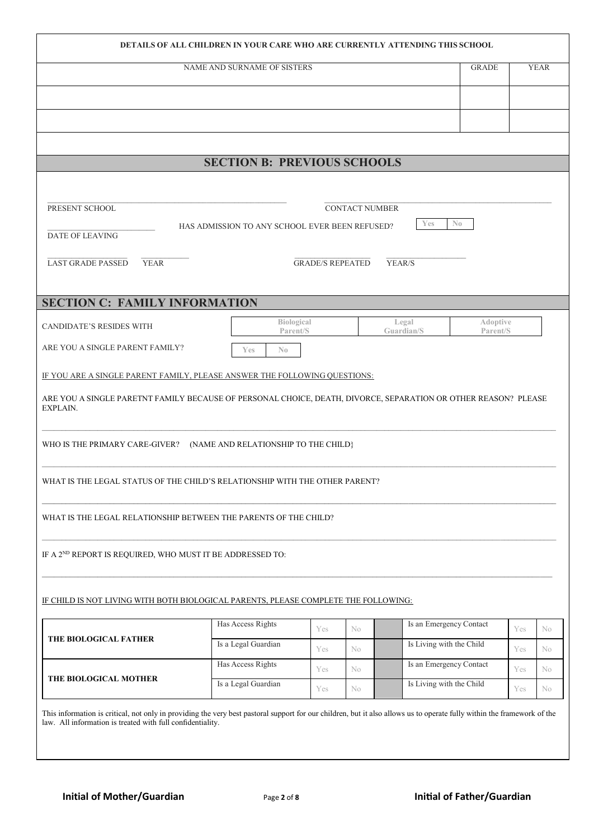|                                                                                                                                                                                                                                                                                                                 |                                                |                         |                       |                          | <b>DETAILS OF ALL CHILDREN IN YOUR CARE WHO ARE CURRENTLY ATTENDING THIS SCHOOL</b> |            |                      |
|-----------------------------------------------------------------------------------------------------------------------------------------------------------------------------------------------------------------------------------------------------------------------------------------------------------------|------------------------------------------------|-------------------------|-----------------------|--------------------------|-------------------------------------------------------------------------------------|------------|----------------------|
|                                                                                                                                                                                                                                                                                                                 | NAME AND SURNAME OF SISTERS                    |                         |                       |                          | <b>GRADE</b>                                                                        |            | <b>YEAR</b>          |
|                                                                                                                                                                                                                                                                                                                 |                                                |                         |                       |                          |                                                                                     |            |                      |
|                                                                                                                                                                                                                                                                                                                 |                                                |                         |                       |                          |                                                                                     |            |                      |
|                                                                                                                                                                                                                                                                                                                 |                                                |                         |                       |                          |                                                                                     |            |                      |
|                                                                                                                                                                                                                                                                                                                 |                                                |                         |                       |                          |                                                                                     |            |                      |
|                                                                                                                                                                                                                                                                                                                 | <b>SECTION B: PREVIOUS SCHOOLS</b>             |                         |                       |                          |                                                                                     |            |                      |
|                                                                                                                                                                                                                                                                                                                 |                                                |                         |                       |                          |                                                                                     |            |                      |
|                                                                                                                                                                                                                                                                                                                 |                                                |                         |                       |                          |                                                                                     |            |                      |
| PRESENT SCHOOL                                                                                                                                                                                                                                                                                                  |                                                |                         | <b>CONTACT NUMBER</b> |                          |                                                                                     |            |                      |
| <b>DATE OF LEAVING</b>                                                                                                                                                                                                                                                                                          | HAS ADMISSION TO ANY SCHOOL EVER BEEN REFUSED? |                         |                       | Yes                      | $\mathbb{N}_0$                                                                      |            |                      |
|                                                                                                                                                                                                                                                                                                                 |                                                |                         |                       |                          |                                                                                     |            |                      |
| <b>LAST GRADE PASSED</b><br><b>YEAR</b>                                                                                                                                                                                                                                                                         |                                                | <b>GRADE/S REPEATED</b> |                       | YEAR/S                   |                                                                                     |            |                      |
|                                                                                                                                                                                                                                                                                                                 |                                                |                         |                       |                          |                                                                                     |            |                      |
| <b>SECTION C: FAMILY INFORMATION</b>                                                                                                                                                                                                                                                                            |                                                |                         |                       |                          |                                                                                     |            |                      |
| <b>CANDIDATE'S RESIDES WITH</b>                                                                                                                                                                                                                                                                                 | Biological<br>Parent/S                         |                         |                       | Legal<br>Guardian/S      | Adoptive<br>Parent/S                                                                |            |                      |
| ARE YOU A SINGLE PARENT FAMILY?                                                                                                                                                                                                                                                                                 | $\mathbb{N}_0$<br><b>Yes</b>                   |                         |                       |                          |                                                                                     |            |                      |
|                                                                                                                                                                                                                                                                                                                 |                                                |                         |                       |                          |                                                                                     |            |                      |
| IF YOU ARE A SINGLE PARENT FAMILY, PLEASE ANSWER THE FOLLOWING QUESTIONS:                                                                                                                                                                                                                                       |                                                |                         |                       |                          |                                                                                     |            |                      |
|                                                                                                                                                                                                                                                                                                                 |                                                |                         |                       |                          |                                                                                     |            |                      |
|                                                                                                                                                                                                                                                                                                                 |                                                |                         |                       |                          |                                                                                     |            |                      |
|                                                                                                                                                                                                                                                                                                                 |                                                |                         |                       |                          |                                                                                     |            |                      |
|                                                                                                                                                                                                                                                                                                                 |                                                |                         |                       |                          |                                                                                     |            |                      |
|                                                                                                                                                                                                                                                                                                                 | (NAME AND RELATIONSHIP TO THE CHILD)           |                         |                       |                          |                                                                                     |            |                      |
|                                                                                                                                                                                                                                                                                                                 |                                                |                         |                       |                          |                                                                                     |            |                      |
|                                                                                                                                                                                                                                                                                                                 |                                                |                         |                       |                          |                                                                                     |            |                      |
|                                                                                                                                                                                                                                                                                                                 |                                                |                         |                       |                          |                                                                                     |            |                      |
|                                                                                                                                                                                                                                                                                                                 |                                                |                         |                       |                          |                                                                                     |            |                      |
| ARE YOU A SINGLE PARETNT FAMILY BECAUSE OF PERSONAL CHOICE, DEATH, DIVORCE, SEPARATION OR OTHER REASON? PLEASE<br>EXPLAIN.<br>WHO IS THE PRIMARY CARE-GIVER?<br>WHAT IS THE LEGAL STATUS OF THE CHILD'S RELATIONSHIP WITH THE OTHER PARENT?<br>WHAT IS THE LEGAL RELATIONSHIP BETWEEN THE PARENTS OF THE CHILD? |                                                |                         |                       |                          |                                                                                     |            |                      |
|                                                                                                                                                                                                                                                                                                                 |                                                |                         |                       |                          |                                                                                     |            |                      |
|                                                                                                                                                                                                                                                                                                                 |                                                |                         |                       |                          |                                                                                     |            |                      |
|                                                                                                                                                                                                                                                                                                                 |                                                |                         |                       |                          |                                                                                     |            |                      |
|                                                                                                                                                                                                                                                                                                                 |                                                |                         |                       |                          |                                                                                     |            |                      |
|                                                                                                                                                                                                                                                                                                                 | Has Access Rights                              | Yes                     | N <sub>0</sub>        |                          | Is an Emergency Contact                                                             | Yes        |                      |
|                                                                                                                                                                                                                                                                                                                 | Is a Legal Guardian                            |                         |                       | Is Living with the Child |                                                                                     |            |                      |
| IF A 2 <sup>ND</sup> REPORT IS REQUIRED, WHO MUST IT BE ADDRESSED TO:<br>IF CHILD IS NOT LIVING WITH BOTH BIOLOGICAL PARENTS, PLEASE COMPLETE THE FOLLOWING:<br>THE BIOLOGICAL FATHER                                                                                                                           | Has Access Rights                              | Yes                     | No                    |                          | Is an Emergency Contact                                                             | Yes        |                      |
| THE BIOLOGICAL MOTHER                                                                                                                                                                                                                                                                                           | Is a Legal Guardian                            | Yes<br>Yes              | N <sub>0</sub><br>No  | Is Living with the Child |                                                                                     | Yes<br>Yes | No<br>No<br>No<br>No |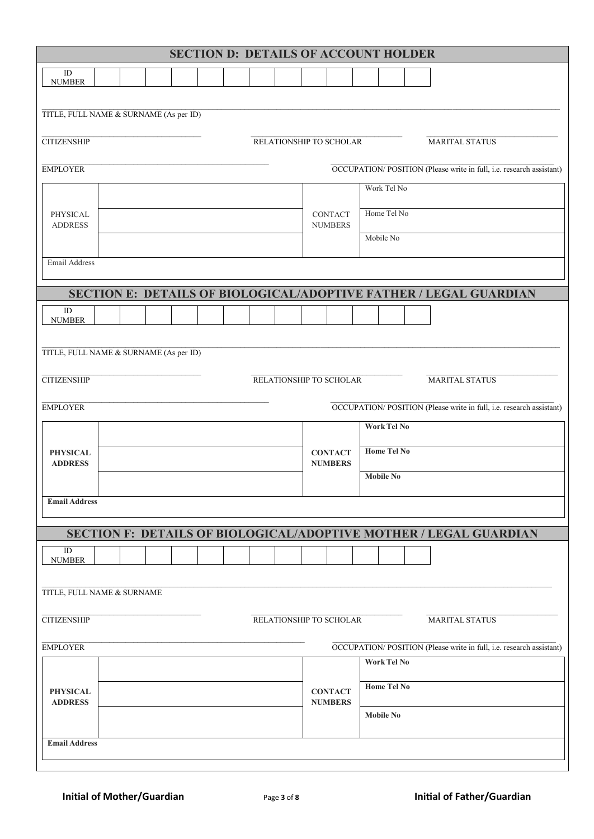|                                        |                                        |  |  |  |  |  |  | <b>SECTION D: DETAILS OF ACCOUNT HOLDER</b> |  |                |                    |  |                                                                     |
|----------------------------------------|----------------------------------------|--|--|--|--|--|--|---------------------------------------------|--|----------------|--------------------|--|---------------------------------------------------------------------|
| ID<br><b>NUMBER</b>                    |                                        |  |  |  |  |  |  |                                             |  |                |                    |  |                                                                     |
|                                        |                                        |  |  |  |  |  |  |                                             |  |                |                    |  |                                                                     |
|                                        | TITLE, FULL NAME & SURNAME (As per ID) |  |  |  |  |  |  |                                             |  |                |                    |  |                                                                     |
| <b>CITIZENSHIP</b>                     |                                        |  |  |  |  |  |  | RELATIONSHIP TO SCHOLAR                     |  |                |                    |  | <b>MARITAL STATUS</b>                                               |
|                                        |                                        |  |  |  |  |  |  |                                             |  |                |                    |  |                                                                     |
| <b>EMPLOYER</b>                        |                                        |  |  |  |  |  |  |                                             |  |                |                    |  | OCCUPATION/POSITION (Please write in full, i.e. research assistant) |
|                                        |                                        |  |  |  |  |  |  |                                             |  |                | Work Tel No        |  |                                                                     |
| PHYSICAL                               |                                        |  |  |  |  |  |  |                                             |  | <b>CONTACT</b> | Home Tel No        |  |                                                                     |
| <b>ADDRESS</b>                         |                                        |  |  |  |  |  |  |                                             |  | <b>NUMBERS</b> | Mobile No          |  |                                                                     |
|                                        |                                        |  |  |  |  |  |  |                                             |  |                |                    |  |                                                                     |
| Email Address                          |                                        |  |  |  |  |  |  |                                             |  |                |                    |  |                                                                     |
|                                        |                                        |  |  |  |  |  |  |                                             |  |                |                    |  | SECTION E: DETAILS OF BIOLOGICAL/ADOPTIVE FATHER / LEGAL GUARDIAN   |
| ID<br><b>NUMBER</b>                    |                                        |  |  |  |  |  |  |                                             |  |                |                    |  |                                                                     |
|                                        |                                        |  |  |  |  |  |  |                                             |  |                |                    |  |                                                                     |
| TITLE, FULL NAME & SURNAME (As per ID) |                                        |  |  |  |  |  |  |                                             |  |                |                    |  |                                                                     |
| <b>CITIZENSHIP</b>                     |                                        |  |  |  |  |  |  | RELATIONSHIP TO SCHOLAR                     |  |                |                    |  | <b>MARITAL STATUS</b>                                               |
|                                        |                                        |  |  |  |  |  |  |                                             |  |                |                    |  |                                                                     |
| <b>EMPLOYER</b>                        |                                        |  |  |  |  |  |  |                                             |  |                |                    |  | OCCUPATION/POSITION (Please write in full, i.e. research assistant) |
|                                        |                                        |  |  |  |  |  |  |                                             |  |                | <b>Work Tel No</b> |  |                                                                     |
| <b>PHYSICAL</b>                        |                                        |  |  |  |  |  |  |                                             |  | <b>CONTACT</b> | <b>Home Tel No</b> |  |                                                                     |
| <b>ADDRESS</b>                         |                                        |  |  |  |  |  |  |                                             |  | <b>NUMBERS</b> | <b>Mobile No</b>   |  |                                                                     |
|                                        |                                        |  |  |  |  |  |  |                                             |  |                |                    |  |                                                                     |
| <b>Email Address</b>                   |                                        |  |  |  |  |  |  |                                             |  |                |                    |  |                                                                     |
|                                        |                                        |  |  |  |  |  |  |                                             |  |                |                    |  | SECTION F: DETAILS OF BIOLOGICAL/ADOPTIVE MOTHER / LEGAL GUARDIAN   |
| $\rm ID$                               |                                        |  |  |  |  |  |  |                                             |  |                |                    |  |                                                                     |
| <b>NUMBER</b>                          |                                        |  |  |  |  |  |  |                                             |  |                |                    |  |                                                                     |
| TITLE, FULL NAME & SURNAME             |                                        |  |  |  |  |  |  |                                             |  |                |                    |  |                                                                     |
|                                        |                                        |  |  |  |  |  |  |                                             |  |                |                    |  |                                                                     |
| <b>CITIZENSHIP</b>                     |                                        |  |  |  |  |  |  | RELATIONSHIP TO SCHOLAR                     |  |                |                    |  | <b>MARITAL STATUS</b>                                               |
| <b>EMPLOYER</b>                        |                                        |  |  |  |  |  |  |                                             |  |                |                    |  | OCCUPATION/POSITION (Please write in full, i.e. research assistant) |
|                                        |                                        |  |  |  |  |  |  |                                             |  |                | <b>Work Tel No</b> |  |                                                                     |
| <b>PHYSICAL</b>                        |                                        |  |  |  |  |  |  |                                             |  | <b>CONTACT</b> | <b>Home Tel No</b> |  |                                                                     |
| <b>ADDRESS</b>                         |                                        |  |  |  |  |  |  |                                             |  | <b>NUMBERS</b> | <b>Mobile No</b>   |  |                                                                     |
|                                        |                                        |  |  |  |  |  |  |                                             |  |                |                    |  |                                                                     |
| <b>Email Address</b>                   |                                        |  |  |  |  |  |  |                                             |  |                |                    |  |                                                                     |
|                                        |                                        |  |  |  |  |  |  |                                             |  |                |                    |  |                                                                     |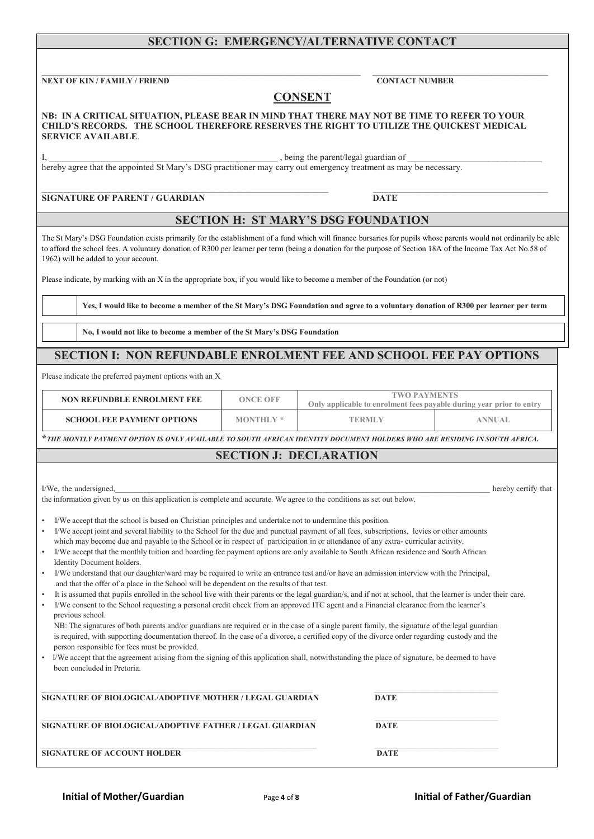# **SECTION G: EMERGENCY/ALTERNATIVE CONTACT**

**\_\_\_\_\_\_\_\_\_\_\_\_\_\_\_\_\_\_\_\_\_\_\_\_\_\_\_\_\_\_\_\_\_\_\_\_\_\_\_\_\_\_\_\_\_\_\_\_\_\_\_\_\_\_\_\_\_\_\_\_\_\_\_\_\_\_\_\_\_\_\_\_\_\_\_\_\_\_\_\_ \_\_\_\_\_\_\_\_\_\_\_\_\_\_\_\_\_\_\_\_\_\_\_\_\_\_\_\_\_\_\_\_\_\_\_\_\_\_\_\_\_\_\_\_ NEXT OF KIN / FAMILY / FRIEND CONTACT NUMBER**

## **CONSENT**

### **NB: IN A CRITICAL SITUATION, PLEASE BEAR IN MIND THAT THERE MAY NOT BE TIME TO REFER TO YOUR CHILD'S RECORDS. THE SCHOOL THEREFORE RESERVES THE RIGHT TO UTILIZE THE QUICKEST MEDICAL SERVICE AVAILABLE**.

I, being the parent/legal guardian of

hereby agree that the appointed St Mary's DSG practitioner may carry out emergency treatment as may be necessary.

### $\_$  , and the set of the set of the set of the set of the set of the set of the set of the set of the set of the set of the set of the set of the set of the set of the set of the set of the set of the set of the set of th **SIGNATURE OF PARENT / GUARDIAN DATE**

## **SECTION H: ST MARY'S DSG FOUNDATION**

The St Mary's DSG Foundation exists primarily for the establishment of a fund which will finance bursaries for pupils whose parents would not ordinarily be able to afford the school fees. A voluntary donation of R300 per learner per term (being a donation for the purpose of Section 18A of the Income Tax Act No.58 of 1962) will be added to your account.

Please indicate, by marking with an X in the appropriate box, if you would like to become a member of the Foundation (or not)

Yes, I would like to become a member of the St Mary's DSG Foundation and agree to a voluntary donation of R300 per learner per term

**No, I would not like to become a member of the St Mary's DSG Foundation**

# **SECTION I: NON REFUNDABLE ENROLMENT FEE AND SCHOOL FEE PAY OPTIONS**

Please indicate the preferred payment options with an X

| <b>NON REFUNDBLE ENROLMENT FEE</b> | ONCE OFF  | <b>TWO PAYMENTS</b><br>Only applicable to enrolment fees payable during year prior to entry |                |  |
|------------------------------------|-----------|---------------------------------------------------------------------------------------------|----------------|--|
| <b>SCHOOL FEE PAYMENT OPTIONS</b>  | MONTHLY * | TERMLY                                                                                      | <b>ANNIJAL</b> |  |

**\****THE MONTLY PAYMENT OPTION IS ONLY AVAILABLE TO SOUTH AFRICAN IDENTITY DOCUMENT HOLDERS WHO ARE RESIDING IN SOUTH AFRICA.*

# **SECTION J: DECLARATION**

| I/We, the undersigned,                                                                                                                     | hereby certify that |
|--------------------------------------------------------------------------------------------------------------------------------------------|---------------------|
| the information given by us on this application is complete and accurate. We agree to the conditions as set out below.                     |                     |
|                                                                                                                                            |                     |
| I/We accept that the school is based on Christian principles and undertake not to undermine this position.                                 |                     |
| I/We accept joint and several liability to the School for the due and punctual payment of all fees, subscriptions, levies or other amounts |                     |
| which may become due and payable to the School or in respect of participation in or attendance of any extra-curricular activity.           |                     |
| I/We accept that the monthly tuition and boarding fee payment options are only available to South African residence and South African      |                     |
| Identity Document holders.                                                                                                                 |                     |
| I/We understand that our daughter/ward may be required to write an entrance test and/or have an admission interview with the Principal.    |                     |
|                                                                                                                                            |                     |

- and that the offer of a place in the School will be dependent on the results of that test.
- It is assumed that pupils enrolled in the school live with their parents or the legal guardian/s, and if not at school, that the learner is under their care.
- I/We consent to the School requesting a personal credit check from an approved ITC agent and a Financial clearance from the learner's previous school.
- NB: The signatures of both parents and/or guardians are required or in the case of a single parent family, the signature of the legal guardian is required, with supporting documentation thereof. In the case of a divorce, a certified copy of the divorce order regarding custody and the person responsible for fees must be provided.
- I/We accept that the agreement arising from the signing of this application shall, notwithstanding the place of signature, be deemed to have been concluded in Pretoria.

| SIGNATURE OF BIOLOGICAL/ADOPTIVE MOTHER / LEGAL GUARDIAN | <b>DATE</b> |
|----------------------------------------------------------|-------------|
| SIGNATURE OF BIOLOGICAL/ADOPTIVE FATHER / LEGAL GUARDIAN | <b>DATE</b> |
| SIGNATURE OF ACCOUNT HOLDER                              | <b>DATE</b> |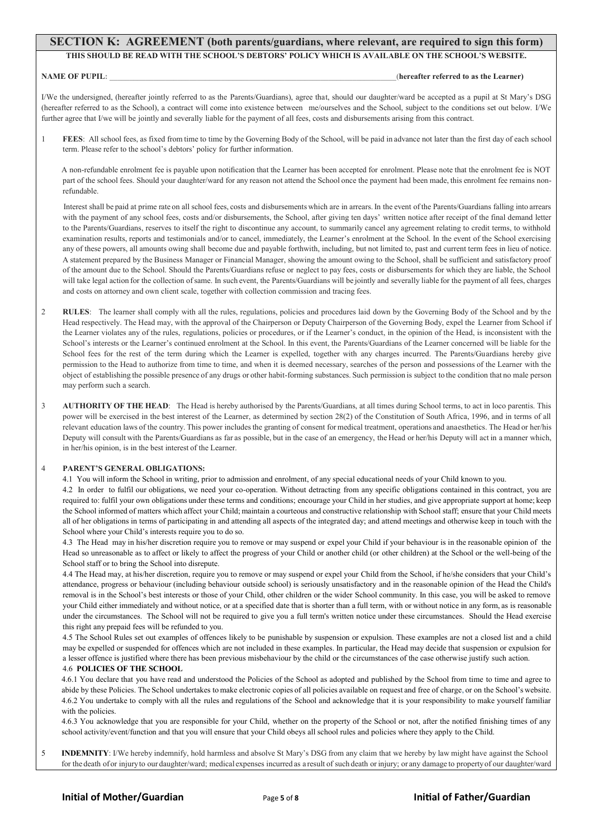### **SECTION K: AGREEMENT (both parents/guardians, where relevant, are required to sign this form)**

**THIS SHOULD BE READ WITH THE SCHOOL'S DEBTORS' POLICY WHICH IS AVAILABLE ON THE SCHOOL'S WEBSITE.**

### **NAME OF PUPIL:**  $\blacksquare$

I/We the undersigned, (hereafter jointly referred to as the Parents/Guardians), agree that, should our daughter/ward be accepted as a pupil at St Mary's DSG (hereafter referred to as the School), a contract will come into existence between me/ourselves and the School, subject to the conditions set out below. I/We further agree that I/we will be jointly and severally liable for the payment of all fees, costs and disbursements arising from this contract.

1 **FEES**: All school fees, as fixed from time to time by the Governing Body of the School, will be paid in advance not later than the first day of each school term. Please refer to the school's debtors' policy for further information.

A non-refundable enrolment fee is payable upon notification that the Learner has been accepted for enrolment. Please note that the enrolment fee is NOT part of the school fees. Should your daughter/ward for any reason not attend the School once the payment had been made, this enrolment fee remains nonrefundable.

Interest shall be paid at prime rate on all school fees, costs and disbursements which are in arrears. In the event of the Parents/Guardians falling into arrears with the payment of any school fees, costs and/or disbursements, the School, after giving ten days' written notice after receipt of the final demand letter to the Parents/Guardians, reserves to itself the right to discontinue any account, to summarily cancel any agreement relating to credit terms, to withhold examination results, reports and testimonials and/or to cancel, immediately, the Learner's enrolment at the School. In the event of the School exercising any of these powers, all amounts owing shall become due and payable forthwith, including, but not limited to, past and current term fees in lieu of notice. A statement prepared by the Business Manager or Financial Manager, showing the amount owing to the School, shall be sufficient and satisfactory proof of the amount due to the School. Should the Parents/Guardians refuse or neglect to pay fees, costs or disbursements for which they are liable, the School will take legal action for the collection of same. In such event, the Parents/Guardians will be jointly and severally liable for the payment of all fees, charges and costs on attorney and own client scale, together with collection commission and tracing fees.

- 2 **RULES**: The learner shall comply with all the rules, regulations, policies and procedures laid down by the Governing Body of the School and by the Head respectively. The Head may, with the approval of the Chairperson or Deputy Chairperson of the Governing Body, expel the Learner from School if the Learner violates any of the rules, regulations, policies or procedures, or if the Learner's conduct, in the opinion of the Head, is inconsistent with the School's interests or the Learner's continued enrolment at the School. In this event, the Parents/Guardians of the Learner concerned will be liable for the School fees for the rest of the term during which the Learner is expelled, together with any charges incurred. The Parents/Guardians hereby give permission to the Head to authorize from time to time, and when it is deemed necessary, searches of the person and possessions of the Learner with the object of establishing the possible presence of any drugs or other habit-forming substances. Such permission is subject to the condition that no male person may perform such a search.
- 3 **AUTHORITY OF THE HEAD**: The Head is hereby authorised by the Parents/Guardians, at all times during School terms, to act in loco parentis. This power will be exercised in the best interest of the Learner, as determined by section 28(2) of the Constitution of South Africa, 1996, and in terms of all relevant education laws of the country. This power includesthe granting of consent for medical treatment, operations and anaesthetics. The Head or her/his Deputy will consult with the Parents/Guardians as far as possible, but in the case of an emergency, the Head or her/his Deputy will act in a manner which, in her/his opinion, is in the best interest of the Learner.

### 4 **PARENT'S GENERAL OBLIGATIONS:**

4.1 You will inform the School in writing, prior to admission and enrolment, of any special educational needs of your Child known to you.

4.2 In order to fulfil our obligations, we need your co-operation. Without detracting from any specific obligations contained in this contract, you are required to: fulfil your own obligations under these terms and conditions; encourage your Child in her studies, and give appropriate support at home; keep the School informed of matters which affect your Child; maintain a courteous and constructive relationship with School staff; ensure that your Child meets all of her obligations in terms of participating in and attending all aspects of the integrated day; and attend meetings and otherwise keep in touch with the School where your Child's interests require you to do so.

4.3 The Head may in his/her discretion require you to remove or may suspend or expel your Child if your behaviour is in the reasonable opinion of the Head so unreasonable as to affect or likely to affect the progress of your Child or another child (or other children) at the School or the well-being of the School staff or to bring the School into disrepute.

4.4 The Head may, at his/her discretion, require you to remove or may suspend or expel your Child from the School, if he/she considers that your Child's attendance, progress or behaviour (including behaviour outside school) is seriously unsatisfactory and in the reasonable opinion of the Head the Child's removal is in the School's best interests or those of your Child, other children or the wider School community. In this case, you will be asked to remove your Child either immediately and without notice, or at a specified date that is shorter than a full term, with or without notice in any form, as is reasonable under the circumstances. The School will not be required to give you a full term's written notice under these circumstances. Should the Head exercise this right any prepaid fees will be refunded to you.

4.5 The School Rules set out examples of offences likely to be punishable by suspension or expulsion. These examples are not a closed list and a child may be expelled or suspended for offences which are not included in these examples. In particular, the Head may decide that suspension or expulsion for a lesser offence is justified where there has been previous misbehaviour by the child or the circumstances of the case otherwise justify such action.

### 4.6 **POLICIES OF THE SCHOOL**

4.6.1 You declare that you have read and understood the Policies of the School as adopted and published by the School from time to time and agree to abide by these Policies. The School undertakes to make electronic copies of all policies available on request and free of charge, or on the School's website. 4.6.2 You undertake to comply with all the rules and regulations of the School and acknowledge that it is your responsibility to make yourself familiar with the policies.

4.6.3 You acknowledge that you are responsible for your Child, whether on the property of the School or not, after the notified finishing times of any school activity/event/function and that you will ensure that your Child obeys all school rules and policies where they apply to the Child.

5 **INDEMNITY**: I/We hereby indemnify, hold harmless and absolve St Mary's DSG from any claim that we hereby by law might have against the School for the death of or injuryto our daughter/ward; medical expenses incurred as a result of such death or injury; or any damage to propertyof our daughter/ward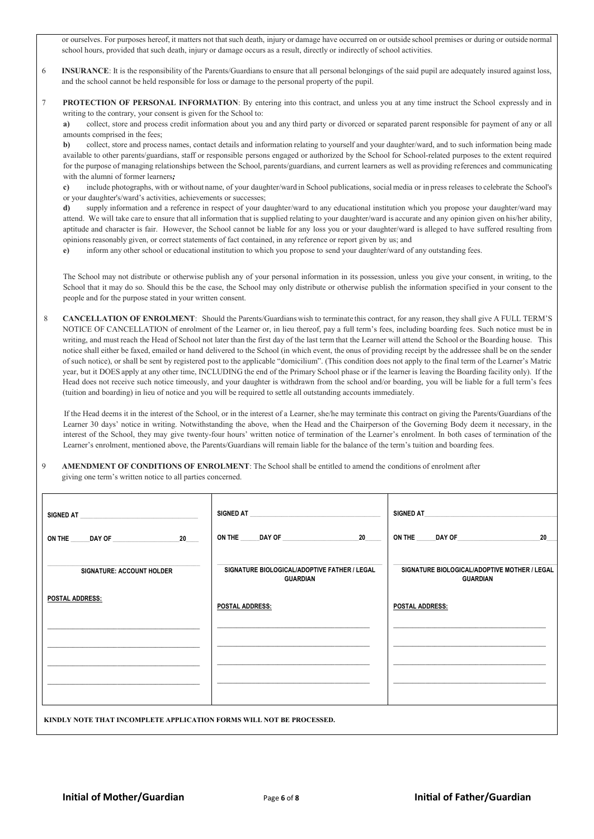or ourselves. For purposes hereof, it matters not thatsuch death, injury or damage have occurred on or outside school premises or during or outside normal school hours, provided that such death, injury or damage occurs as a result, directly or indirectly of school activities.

- 6 **INSURANCE**: It is the responsibility of the Parents/Guardians to ensure that all personal belongings of the said pupil are adequately insured against loss, and the school cannot be held responsible for loss or damage to the personal property of the pupil.
- 7 **PROTECTION OF PERSONAL INFORMATION**: By entering into this contract, and unless you at any time instruct the School expressly and in writing to the contrary, your consent is given for the School to:

**a)** collect, store and process credit information about you and any third party or divorced or separated parent responsible for payment of any or all amounts comprised in the fees;

**b)** collect, store and process names, contact details and information relating to yourself and your daughter/ward, and to such information being made available to other parents/guardians, staff or responsible persons engaged or authorized by the School for School-related purposes to the extent required for the purpose of managing relationships between the School, parents/guardians, and current learners as well as providing references and communicating with the alumni of former learners*;*

**c)** include photographs, with or without name, of your daughter/ward in School publications, socialmedia or in press releases to celebrate the School's or your daughter's/ward's activities, achievements or successes;

**d)** supply information and a reference in respect of your daughter/ward to any educational institution which you propose your daughter/ward may attend. We will take care to ensure that all information that is supplied relating to your daughter/ward is accurate and any opinion given on his/her ability, aptitude and character is fair. However, the School cannot be liable for any loss you or your daughter/ward is alleged to have suffered resulting from opinions reasonably given, or correct statements of fact contained, in any reference or report given by us; and

**e)** inform any other school or educational institution to which you propose to send your daughter/ward of any outstanding fees.

The School may not distribute or otherwise publish any of your personal information in its possession, unless you give your consent, in writing, to the School that it may do so. Should this be the case, the School may only distribute or otherwise publish the information specified in your consent to the people and for the purpose stated in your written consent.

8 **CANCELLATION OF ENROLMENT**: Should the Parents/Guardians wish to terminate this contract, for any reason, they shall give A FULL TERM'S NOTICE OF CANCELLATION of enrolment of the Learner or, in lieu thereof, pay a full term's fees, including boarding fees. Such notice must be in writing, and must reach the Head of School not later than the first day of the last term that the Learner will attend the School or the Boarding house. This notice shall either be faxed, emailed or hand delivered to the School (in which event, the onus of providing receipt by the addressee shall be on the sender of such notice), or shall be sent by registered post to the applicable "domicilium". (This condition does not apply to the final term of the Learner's Matric year, but it DOES apply at any other time, INCLUDING the end of the Primary School phase or if the learner is leaving the Boarding facility only). If the Head does not receive such notice timeously, and your daughter is withdrawn from the school and/or boarding, you will be liable for a full term's fees (tuition and boarding) in lieu of notice and you will be required to settle all outstanding accounts immediately.

If the Head deems it in the interest of the School, or in the interest of a Learner, she/he may terminate this contract on giving the Parents/Guardians of the Learner 30 days' notice in writing. Notwithstanding the above, when the Head and the Chairperson of the Governing Body deem it necessary, in the interest of the School, they may give twenty-four hours' written notice of termination of the Learner's enrolment. In both cases of termination of the Learner's enrolment, mentioned above, the Parents/Guardians will remain liable for the balance of the term's tuition and boarding fees.

9 **AMENDMENT OF CONDITIONS OF ENROLMENT**: The School shall be entitled to amend the conditions of enrolment after giving one term's written notice to all parties concerned.

| SIGNED AT <b>A SIGNED AT A SIGNED</b> AT <b>A SIGNED</b> AT <b>A</b>                                                                                                                                                                           | SIGNED AT <b>A SIGNED AT A SIGNED AT A SIGNED AT A SIGNED AT A SIGNED AT A SIGNED AT A SIGNED AT A SIGNED AT A SIGNED AT A SIGNED AT A SIGNED AT A SIGNED AT A SIGNED AT A SIGNED AT A SIGNED AT A SIGNED AT A SIGNED AT A SIGNE</b> | SIGNED AT                                                       |
|------------------------------------------------------------------------------------------------------------------------------------------------------------------------------------------------------------------------------------------------|--------------------------------------------------------------------------------------------------------------------------------------------------------------------------------------------------------------------------------------|-----------------------------------------------------------------|
| 20<br>DAY OF THE RESIDENCE OF THE RESIDENCE OF THE RESIDENCE OF THE RESIDENCE OF THE RESIDENCE OF THE RESIDENCE OF THE RESIDENCE OF THE RESIDENCE OF THE RESIDENCE OF THE RESIDENCE OF THE RESIDENCE OF THE RESIDENCE OF THE RESIDEN<br>ON THE | ON THE DAY OF<br>20                                                                                                                                                                                                                  | ON THE DAY OF<br>20                                             |
| SIGNATURE: ACCOUNT HOLDER                                                                                                                                                                                                                      | SIGNATURE BIOLOGICAL/ADOPTIVE FATHER / LEGAL<br><b>GUARDIAN</b>                                                                                                                                                                      | SIGNATURE BIOLOGICAL/ADOPTIVE MOTHER / LEGAL<br><b>GUARDIAN</b> |
| <b>POSTAL ADDRESS:</b>                                                                                                                                                                                                                         | POSTAL ADDRESS:                                                                                                                                                                                                                      | <b>POSTAL ADDRESS:</b>                                          |
|                                                                                                                                                                                                                                                |                                                                                                                                                                                                                                      |                                                                 |
|                                                                                                                                                                                                                                                |                                                                                                                                                                                                                                      |                                                                 |
|                                                                                                                                                                                                                                                |                                                                                                                                                                                                                                      |                                                                 |
| KINDLY NOTE THAT INCOMPLETE APPLICATION FORMS WILL NOT BE PROCESSED.                                                                                                                                                                           |                                                                                                                                                                                                                                      |                                                                 |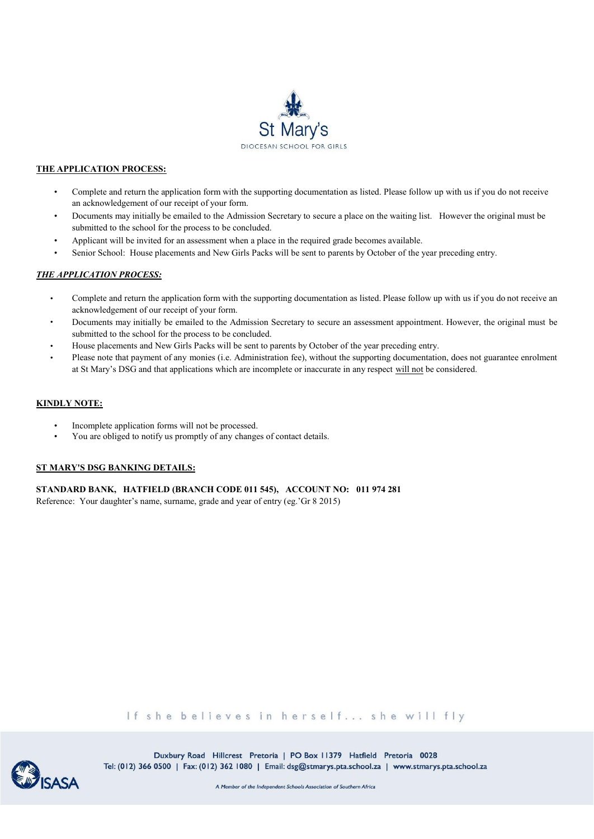

### **THE APPLICATION PROCESS:**

- Complete and return the application form with the supporting documentation as listed. Please follow up with us if you do not receive an acknowledgement of our receipt of your form.
- Documents may initially be emailed to the Admission Secretary to secure a place on the waiting list. However the original must be submitted to the school for the process to be concluded.
- Applicant will be invited for an assessment when a place in the required grade becomes available.
- Senior School: House placements and New Girls Packs will be sent to parents by October of the year preceding entry.

### *THE APPLICATION PROCESS:*

- Complete and return the application form with the supporting documentation as listed. Please follow up with us if you do not receive an acknowledgement of our receipt of your form.
- Documents may initially be emailed to the Admission Secretary to secure an assessment appointment. However, the original must be submitted to the school for the process to be concluded.
- House placements and New Girls Packs will be sent to parents by October of the year preceding entry.
- Please note that payment of any monies (i.e. Administration fee), without the supporting documentation, does not guarantee enrolment at St Mary's DSG and that applications which are incomplete or inaccurate in any respect will not be considered.

### **KINDLY NOTE:**

- Incomplete application forms will not be processed.
- You are obliged to notify us promptly of any changes of contact details.

### **ST MARY'S DSG BANKING DETAILS:**

### **STANDARD BANK, HATFIELD (BRANCH CODE 011 545), ACCOUNT NO: 011 974 281**

Reference: Your daughter's name, surname, grade and year of entry (eg.'Gr 8 2015)

If she believes in herself... she will fly



Duxbury Road Hillcrest Pretoria | PO Box 11379 Hatfield Pretoria 0028 Tel: (012) 366 0500 | Fax: (012) 362 1080 | Email: dsg@stmarys.pta.school.za | www.stmarys.pta.school.za